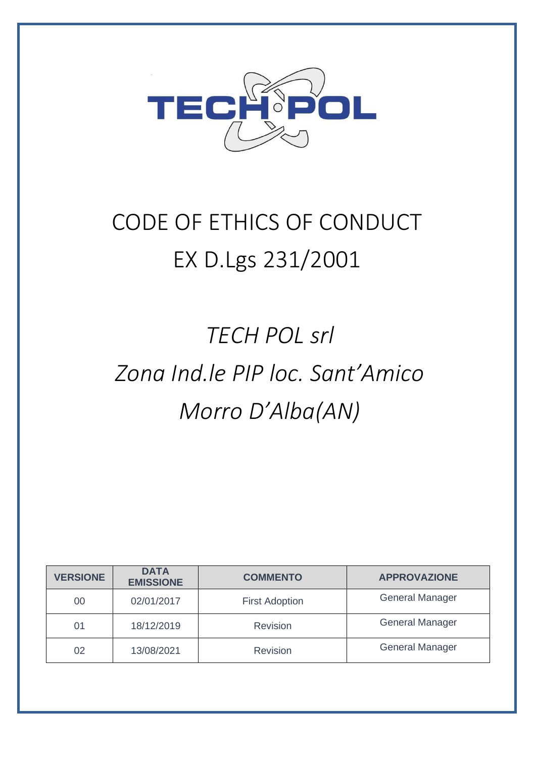

## CODE OF ETHICS OF CONDUCT EX D.Lgs 231/2001

# *TECH POL srl Zona Ind.le PIP loc. Sant'Amico Morro D'Alba(AN)*

| <b>VERSIONE</b> | <b>DATA</b><br><b>EMISSIONE</b> | <b>COMMENTO</b>       | <b>APPROVAZIONE</b>    |
|-----------------|---------------------------------|-----------------------|------------------------|
| 00              | 02/01/2017                      | <b>First Adoption</b> | <b>General Manager</b> |
| 01              | 18/12/2019                      | Revision              | <b>General Manager</b> |
| 02              | 13/08/2021                      | Revision              | <b>General Manager</b> |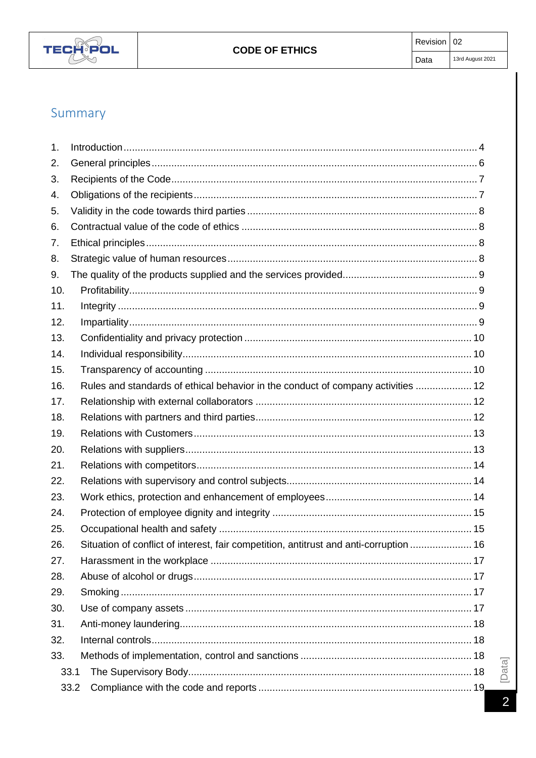

## Summary

| 1.   |                                                                                        |  |
|------|----------------------------------------------------------------------------------------|--|
| 2.   |                                                                                        |  |
| 3.   |                                                                                        |  |
| 4.   |                                                                                        |  |
| 5.   |                                                                                        |  |
| 6.   |                                                                                        |  |
| 7.   |                                                                                        |  |
| 8.   |                                                                                        |  |
| 9.   |                                                                                        |  |
| 10.  |                                                                                        |  |
| 11.  |                                                                                        |  |
| 12.  |                                                                                        |  |
| 13.  |                                                                                        |  |
| 14.  |                                                                                        |  |
| 15.  |                                                                                        |  |
| 16.  | Rules and standards of ethical behavior in the conduct of company activities  12       |  |
| 17.  |                                                                                        |  |
| 18.  |                                                                                        |  |
| 19.  |                                                                                        |  |
| 20.  |                                                                                        |  |
| 21.  |                                                                                        |  |
| 22.  |                                                                                        |  |
| 23.  |                                                                                        |  |
| 24.  |                                                                                        |  |
| 25.  |                                                                                        |  |
| 26.  | Situation of conflict of interest, fair competition, antitrust and anti-corruption  16 |  |
| 27.  |                                                                                        |  |
| 28.  |                                                                                        |  |
| 29.  |                                                                                        |  |
| 30.  |                                                                                        |  |
| 31.  |                                                                                        |  |
| 32.  |                                                                                        |  |
| 33.  |                                                                                        |  |
|      | 33.1                                                                                   |  |
| 33.2 |                                                                                        |  |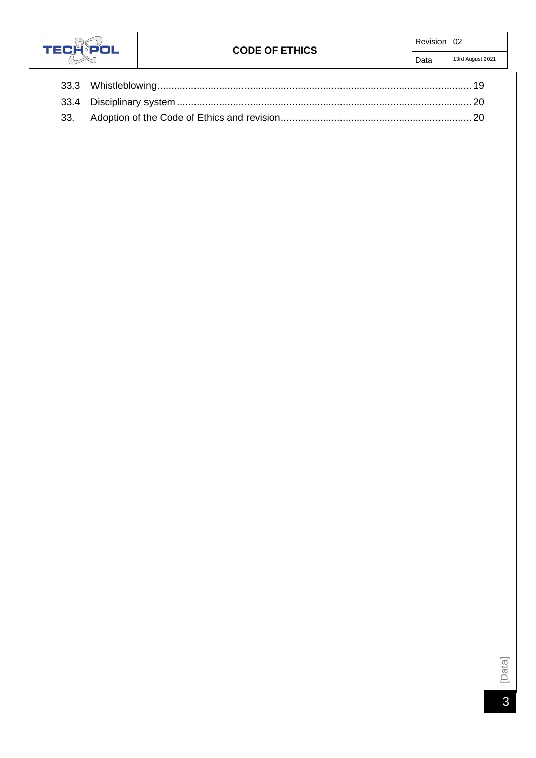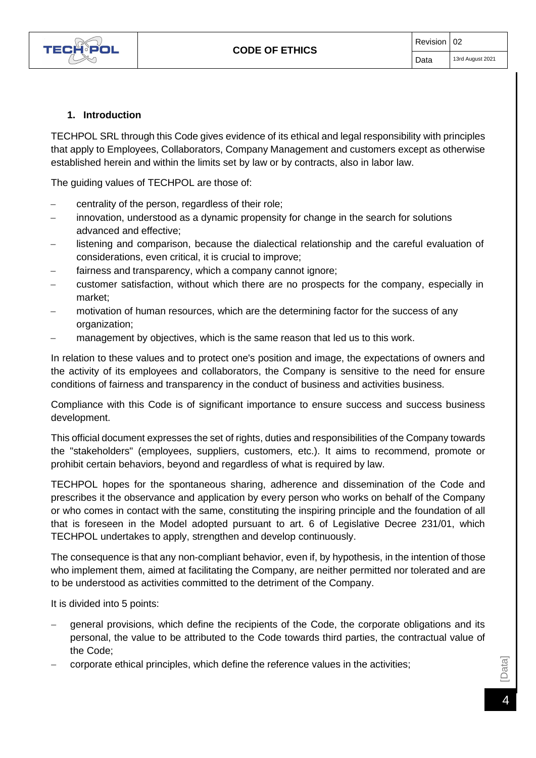

## **1. Introduction**

<span id="page-3-0"></span>TECHPOL SRL through this Code gives evidence of its ethical and legal responsibility with principles that apply to Employees, Collaborators, Company Management and customers except as otherwise established herein and within the limits set by law or by contracts, also in labor law.

The guiding values of TECHPOL are those of:

- − centrality of the person, regardless of their role;
- innovation, understood as a dynamic propensity for change in the search for solutions advanced and effective;
- listening and comparison, because the dialectical relationship and the careful evaluation of considerations, even critical, it is crucial to improve;
- fairness and transparency, which a company cannot ignore;
- − customer satisfaction, without which there are no prospects for the company, especially in market;
- motivation of human resources, which are the determining factor for the success of any organization;
- management by objectives, which is the same reason that led us to this work.

In relation to these values and to protect one's position and image, the expectations of owners and the activity of its employees and collaborators, the Company is sensitive to the need for ensure conditions of fairness and transparency in the conduct of business and activities business.

Compliance with this Code is of significant importance to ensure success and success business development.

This official document expresses the set of rights, duties and responsibilities of the Company towards the "stakeholders" (employees, suppliers, customers, etc.). It aims to recommend, promote or prohibit certain behaviors, beyond and regardless of what is required by law.

TECHPOL hopes for the spontaneous sharing, adherence and dissemination of the Code and prescribes it the observance and application by every person who works on behalf of the Company or who comes in contact with the same, constituting the inspiring principle and the foundation of all that is foreseen in the Model adopted pursuant to art. 6 of Legislative Decree 231/01, which TECHPOL undertakes to apply, strengthen and develop continuously.

The consequence is that any non-compliant behavior, even if, by hypothesis, in the intention of those who implement them, aimed at facilitating the Company, are neither permitted nor tolerated and are to be understood as activities committed to the detriment of the Company.

It is divided into 5 points:

- general provisions, which define the recipients of the Code, the corporate obligations and its personal, the value to be attributed to the Code towards third parties, the contractual value of the Code;
- corporate ethical principles, which define the reference values in the activities;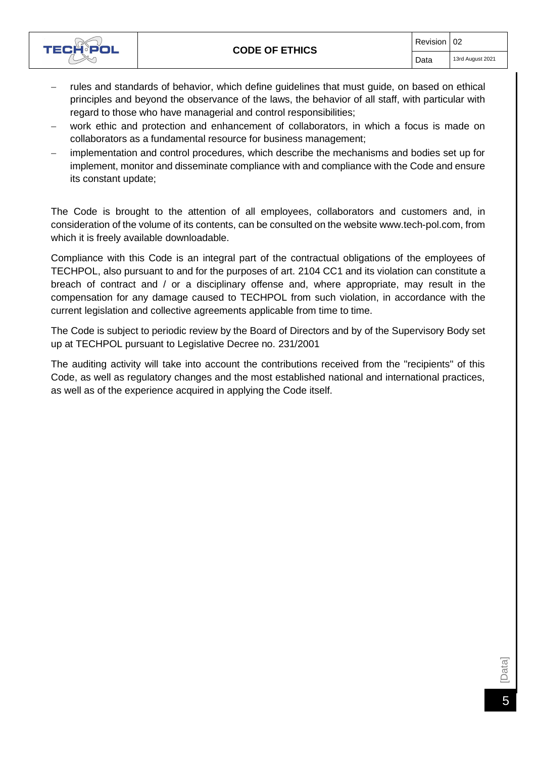

- rules and standards of behavior, which define guidelines that must guide, on based on ethical principles and beyond the observance of the laws, the behavior of all staff, with particular with regard to those who have managerial and control responsibilities;
- work ethic and protection and enhancement of collaborators, in which a focus is made on collaborators as a fundamental resource for business management;
- implementation and control procedures, which describe the mechanisms and bodies set up for implement, monitor and disseminate compliance with and compliance with the Code and ensure its constant update;

The Code is brought to the attention of all employees, collaborators and customers and, in consideration of the volume of its contents, can be consulted on the website [www.tech-pol.com,](http://www.tech-pol.com/) from which it is freely available downloadable.

Compliance with this Code is an integral part of the contractual obligations of the employees of TECHPOL, also pursuant to and for the purposes of art. 2104 CC1 and its violation can constitute a breach of contract and / or a disciplinary offense and, where appropriate, may result in the compensation for any damage caused to TECHPOL from such violation, in accordance with the current legislation and collective agreements applicable from time to time.

The Code is subject to periodic review by the Board of Directors and by of the Supervisory Body set up at TECHPOL pursuant to Legislative Decree no. 231/2001

The auditing activity will take into account the contributions received from the "recipients" of this Code, as well as regulatory changes and the most established national and international practices, as well as of the experience acquired in applying the Code itself.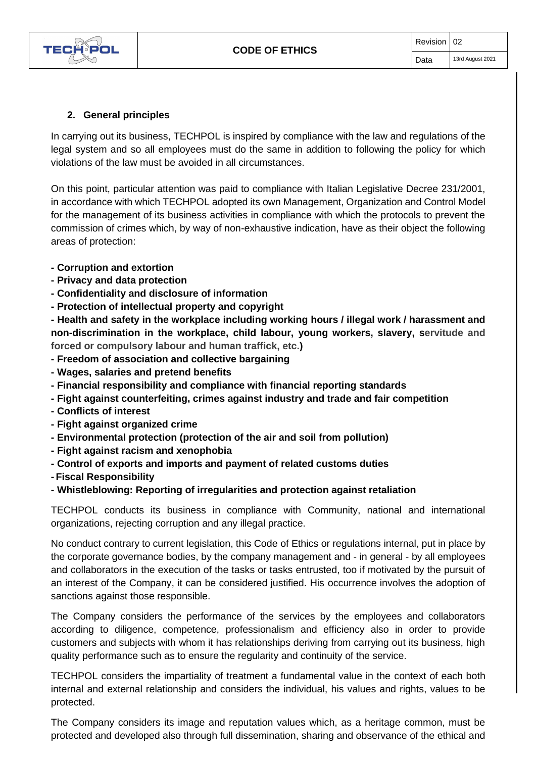

#### **2. General principles**

<span id="page-5-0"></span>In carrying out its business, TECHPOL is inspired by compliance with the law and regulations of the legal system and so all employees must do the same in addition to following the policy for which violations of the law must be avoided in all circumstances.

On this point, particular attention was paid to compliance with Italian Legislative Decree 231/2001, in accordance with which TECHPOL adopted its own Management, Organization and Control Model for the management of its business activities in compliance with which the protocols to prevent the commission of crimes which, by way of non-exhaustive indication, have as their object the following areas of protection:

#### **- Corruption and extortion**

- **- Privacy and data protection**
- **- Confidentiality and disclosure of information**
- **- Protection of intellectual property and copyright**

**- Health and safety in the workplace including working hours / illegal work / harassment and non-discrimination in the workplace, child labour, young workers, slavery, servitude and forced or compulsory labour and human traffick, etc.)**

- **- Freedom of association and collective bargaining**
- **- Wages, salaries and pretend benefits**
- **- Financial responsibility and compliance with financial reporting standards**
- **- Fight against counterfeiting, crimes against industry and trade and fair competition**
- **- Conflicts of interest**
- **- Fight against organized crime**
- **- Environmental protection (protection of the air and soil from pollution)**
- **- Fight against racism and xenophobia**
- **- Control of exports and imports and payment of related customs duties**
- **- Fiscal Responsibility**

#### **- Whistleblowing: Reporting of irregularities and protection against retaliation**

TECHPOL conducts its business in compliance with Community, national and international organizations, rejecting corruption and any illegal practice.

No conduct contrary to current legislation, this Code of Ethics or regulations internal, put in place by the corporate governance bodies, by the company management and - in general - by all employees and collaborators in the execution of the tasks or tasks entrusted, too if motivated by the pursuit of an interest of the Company, it can be considered justified. His occurrence involves the adoption of sanctions against those responsible.

The Company considers the performance of the services by the employees and collaborators according to diligence, competence, professionalism and efficiency also in order to provide customers and subjects with whom it has relationships deriving from carrying out its business, high quality performance such as to ensure the regularity and continuity of the service.

TECHPOL considers the impartiality of treatment a fundamental value in the context of each both internal and external relationship and considers the individual, his values and rights, values to be protected.

The Company considers its image and reputation values which, as a heritage common, must be protected and developed also through full dissemination, sharing and observance of the ethical and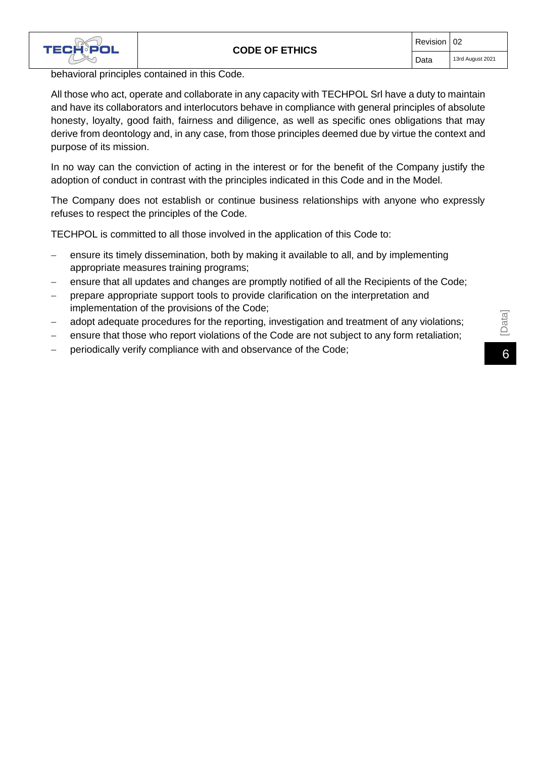

behavioral principles contained in this Code.

All those who act, operate and collaborate in any capacity with TECHPOL Srl have a duty to maintain and have its collaborators and interlocutors behave in compliance with general principles of absolute honesty, loyalty, good faith, fairness and diligence, as well as specific ones obligations that may derive from deontology and, in any case, from those principles deemed due by virtue the context and purpose of its mission.

In no way can the conviction of acting in the interest or for the benefit of the Company justify the adoption of conduct in contrast with the principles indicated in this Code and in the Model.

The Company does not establish or continue business relationships with anyone who expressly refuses to respect the principles of the Code.

TECHPOL is committed to all those involved in the application of this Code to:

- − ensure its timely dissemination, both by making it available to all, and by implementing appropriate measures training programs;
- ensure that all updates and changes are promptly notified of all the Recipients of the Code;
- − prepare appropriate support tools to provide clarification on the interpretation and implementation of the provisions of the Code;
- 
- − adopt adequate procedures for the reporting, investigation and treatment of any violations;<br>
− ensure that those who report violations of the Code are not subject to any form retaliation;<br>
− periodically verify complian ensure that those who report violations of the Code are not subject to any form retaliation;
-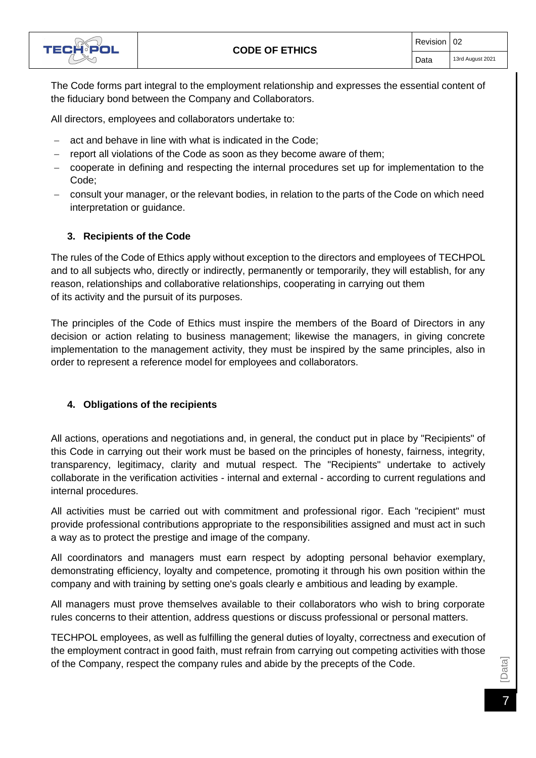

The Code forms part integral to the employment relationship and expresses the essential content of the fiduciary bond between the Company and Collaborators.

All directors, employees and collaborators undertake to:

- act and behave in line with what is indicated in the Code;
- report all violations of the Code as soon as they become aware of them;
- − cooperate in defining and respecting the internal procedures set up for implementation to the Code;
- − consult your manager, or the relevant bodies, in relation to the parts of the Code on which need interpretation or guidance.

#### **3. Recipients of the Code**

<span id="page-7-0"></span>The rules of the Code of Ethics apply without exception to the directors and employees of TECHPOL and to all subjects who, directly or indirectly, permanently or temporarily, they will establish, for any reason, relationships and collaborative relationships, cooperating in carrying out them of its activity and the pursuit of its purposes.

The principles of the Code of Ethics must inspire the members of the Board of Directors in any decision or action relating to business management; likewise the managers, in giving concrete implementation to the management activity, they must be inspired by the same principles, also in order to represent a reference model for employees and collaborators.

#### **4. Obligations of the recipients**

<span id="page-7-1"></span>All actions, operations and negotiations and, in general, the conduct put in place by "Recipients" of this Code in carrying out their work must be based on the principles of honesty, fairness, integrity, transparency, legitimacy, clarity and mutual respect. The "Recipients" undertake to actively collaborate in the verification activities - internal and external - according to current regulations and internal procedures.

All activities must be carried out with commitment and professional rigor. Each "recipient" must provide professional contributions appropriate to the responsibilities assigned and must act in such a way as to protect the prestige and image of the company.

All coordinators and managers must earn respect by adopting personal behavior exemplary, demonstrating efficiency, loyalty and competence, promoting it through his own position within the company and with training by setting one's goals clearly e ambitious and leading by example.

All managers must prove themselves available to their collaborators who wish to bring corporate rules concerns to their attention, address questions or discuss professional or personal matters.

TECHPOL employees, as well as fulfilling the general duties of loyalty, correctness and execution of the employment contract in good faith, must refrain from carrying out competing activities with those of the Company, respect the company rules and abide by the precepts of the Code.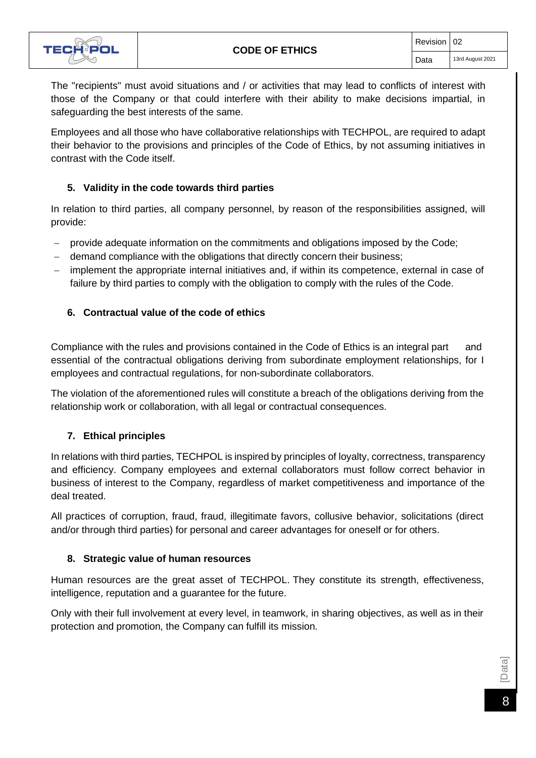

The "recipients" must avoid situations and / or activities that may lead to conflicts of interest with those of the Company or that could interfere with their ability to make decisions impartial, in safeguarding the best interests of the same.

Employees and all those who have collaborative relationships with TECHPOL, are required to adapt their behavior to the provisions and principles of the Code of Ethics, by not assuming initiatives in contrast with the Code itself.

#### **5. Validity in the code towards third parties**

<span id="page-8-0"></span>In relation to third parties, all company personnel, by reason of the responsibilities assigned, will provide:

- − provide adequate information on the commitments and obligations imposed by the Code;
- demand compliance with the obligations that directly concern their business;
- − implement the appropriate internal initiatives and, if within its competence, external in case of failure by third parties to comply with the obligation to comply with the rules of the Code.

#### **6. Contractual value of the code of ethics**

<span id="page-8-1"></span>Compliance with the rules and provisions contained in the Code of Ethics is an integral part and essential of the contractual obligations deriving from subordinate employment relationships, for I employees and contractual regulations, for non-subordinate collaborators.

The violation of the aforementioned rules will constitute a breach of the obligations deriving from the relationship work or collaboration, with all legal or contractual consequences.

#### **7. Ethical principles**

<span id="page-8-2"></span>In relations with third parties, TECHPOL is inspired by principles of loyalty, correctness, transparency and efficiency. Company employees and external collaborators must follow correct behavior in business of interest to the Company, regardless of market competitiveness and importance of the deal treated.

All practices of corruption, fraud, fraud, illegitimate favors, collusive behavior, solicitations (direct and/or through third parties) for personal and career advantages for oneself or for others.

#### **8. Strategic value of human resources**

<span id="page-8-3"></span>Human resources are the great asset of TECHPOL. They constitute its strength, effectiveness, intelligence, reputation and a guarantee for the future.

Only with their full involvement at every level, in teamwork, in sharing objectives, as well as in their protection and promotion, the Company can fulfill its mission.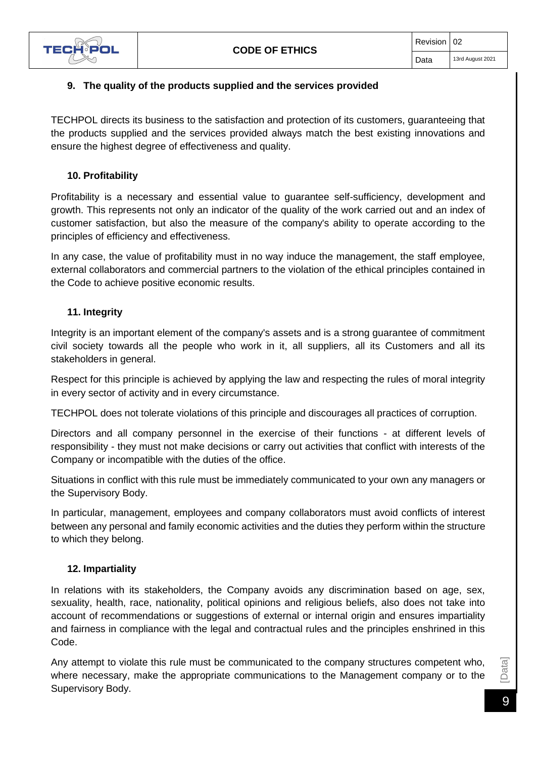

#### <span id="page-9-0"></span>**9. The quality of the products supplied and the services provided**

TECHPOL directs its business to the satisfaction and protection of its customers, guaranteeing that the products supplied and the services provided always match the best existing innovations and ensure the highest degree of effectiveness and quality.

#### **10. Profitability**

<span id="page-9-1"></span>Profitability is a necessary and essential value to guarantee self-sufficiency, development and growth. This represents not only an indicator of the quality of the work carried out and an index of customer satisfaction, but also the measure of the company's ability to operate according to the principles of efficiency and effectiveness.

In any case, the value of profitability must in no way induce the management, the staff employee, external collaborators and commercial partners to the violation of the ethical principles contained in the Code to achieve positive economic results.

#### **11. Integrity**

<span id="page-9-2"></span>Integrity is an important element of the company's assets and is a strong guarantee of commitment civil society towards all the people who work in it, all suppliers, all its Customers and all its stakeholders in general.

Respect for this principle is achieved by applying the law and respecting the rules of moral integrity in every sector of activity and in every circumstance.

TECHPOL does not tolerate violations of this principle and discourages all practices of corruption.

Directors and all company personnel in the exercise of their functions - at different levels of responsibility - they must not make decisions or carry out activities that conflict with interests of the Company or incompatible with the duties of the office.

Situations in conflict with this rule must be immediately communicated to your own any managers or the Supervisory Body.

In particular, management, employees and company collaborators must avoid conflicts of interest between any personal and family economic activities and the duties they perform within the structure to which they belong.

#### **12. Impartiality**

<span id="page-9-3"></span>In relations with its stakeholders, the Company avoids any discrimination based on age, sex, sexuality, health, race, nationality, political opinions and religious beliefs, also does not take into account of recommendations or suggestions of external or internal origin and ensures impartiality and fairness in compliance with the legal and contractual rules and the principles enshrined in this Code.

Any attempt to violate this rule must be communicated to the company structures competent who, where necessary, make the appropriate communications to the Management company or to the Supervisory Body.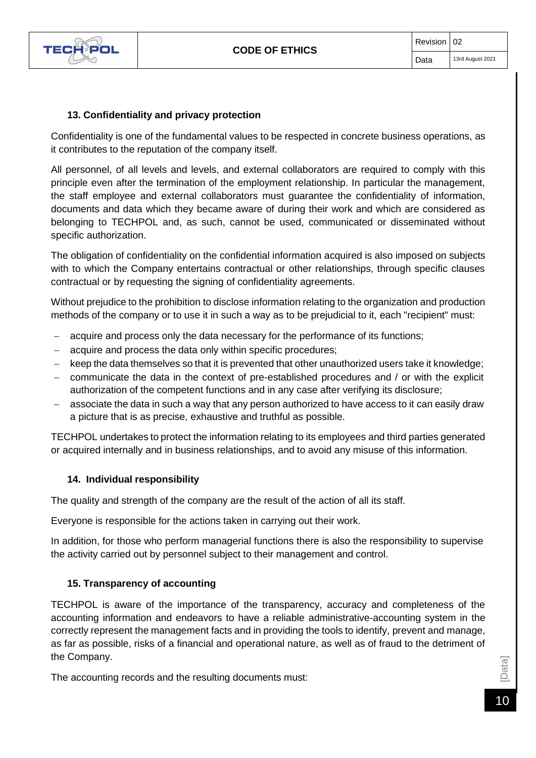

#### **13. Confidentiality and privacy protection**

<span id="page-10-0"></span>Confidentiality is one of the fundamental values to be respected in concrete business operations, as it contributes to the reputation of the company itself.

All personnel, of all levels and levels, and external collaborators are required to comply with this principle even after the termination of the employment relationship. In particular the management, the staff employee and external collaborators must guarantee the confidentiality of information, documents and data which they became aware of during their work and which are considered as belonging to TECHPOL and, as such, cannot be used, communicated or disseminated without specific authorization.

The obligation of confidentiality on the confidential information acquired is also imposed on subjects with to which the Company entertains contractual or other relationships, through specific clauses contractual or by requesting the signing of confidentiality agreements.

Without prejudice to the prohibition to disclose information relating to the organization and production methods of the company or to use it in such a way as to be prejudicial to it, each "recipient" must:

- acquire and process only the data necessary for the performance of its functions;
- − acquire and process the data only within specific procedures;
- keep the data themselves so that it is prevented that other unauthorized users take it knowledge;
- − communicate the data in the context of pre-established procedures and / or with the explicit authorization of the competent functions and in any case after verifying its disclosure;
- associate the data in such a way that any person authorized to have access to it can easily draw a picture that is as precise, exhaustive and truthful as possible.

TECHPOL undertakes to protect the information relating to its employees and third parties generated or acquired internally and in business relationships, and to avoid any misuse of this information.

#### **14. Individual responsibility**

<span id="page-10-1"></span>The quality and strength of the company are the result of the action of all its staff.

Everyone is responsible for the actions taken in carrying out their work.

In addition, for those who perform managerial functions there is also the responsibility to supervise the activity carried out by personnel subject to their management and control.

#### **15. Transparency of accounting**

<span id="page-10-2"></span>TECHPOL is aware of the importance of the transparency, accuracy and completeness of the accounting information and endeavors to have a reliable administrative-accounting system in the correctly represent the management facts and in providing the tools to identify, prevent and manage, as far as possible, risks of a financial and operational nature, as well as of fraud to the detriment of the Company.

The accounting records and the resulting documents must: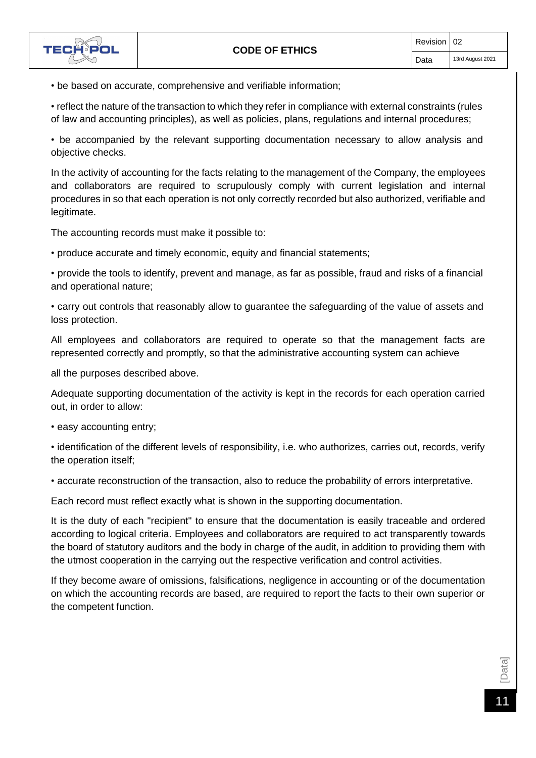

• be based on accurate, comprehensive and verifiable information;

• reflect the nature of the transaction to which they refer in compliance with external constraints (rules of law and accounting principles), as well as policies, plans, regulations and internal procedures;

• be accompanied by the relevant supporting documentation necessary to allow analysis and objective checks.

In the activity of accounting for the facts relating to the management of the Company, the employees and collaborators are required to scrupulously comply with current legislation and internal procedures in so that each operation is not only correctly recorded but also authorized, verifiable and legitimate.

The accounting records must make it possible to:

• produce accurate and timely economic, equity and financial statements;

• provide the tools to identify, prevent and manage, as far as possible, fraud and risks of a financial and operational nature;

• carry out controls that reasonably allow to guarantee the safeguarding of the value of assets and loss protection.

All employees and collaborators are required to operate so that the management facts are represented correctly and promptly, so that the administrative accounting system can achieve

all the purposes described above.

Adequate supporting documentation of the activity is kept in the records for each operation carried out, in order to allow:

• easy accounting entry;

• identification of the different levels of responsibility, i.e. who authorizes, carries out, records, verify the operation itself;

• accurate reconstruction of the transaction, also to reduce the probability of errors interpretative.

Each record must reflect exactly what is shown in the supporting documentation.

It is the duty of each "recipient" to ensure that the documentation is easily traceable and ordered according to logical criteria. Employees and collaborators are required to act transparently towards the board of statutory auditors and the body in charge of the audit, in addition to providing them with the utmost cooperation in the carrying out the respective verification and control activities.

If they become aware of omissions, falsifications, negligence in accounting or of the documentation on which the accounting records are based, are required to report the facts to their own superior or the competent function.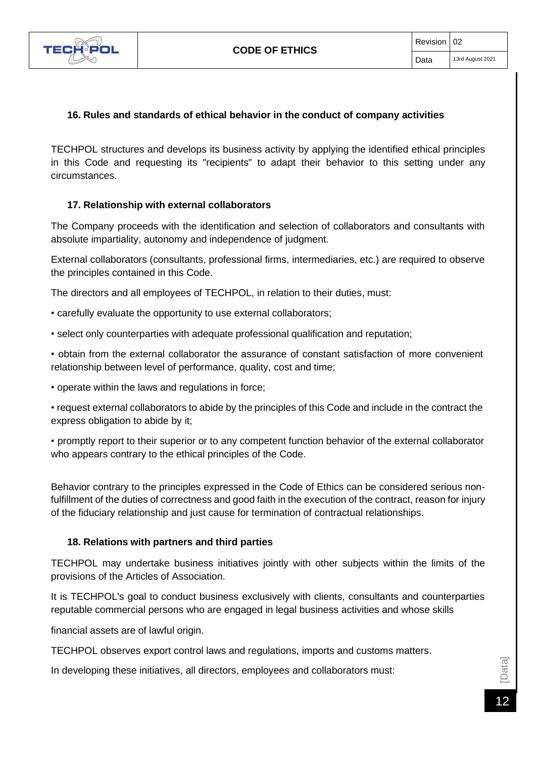

#### **16. Rules and standards of ethical behavior in the conduct of company activities**

<span id="page-12-0"></span>TECHPOL structures and develops its business activity by applying the identified ethical principles in this Code and requesting its "recipients" to adapt their behavior to this setting under any circumstances.

#### **17. Relationship with external collaborators**

<span id="page-12-1"></span>The Company proceeds with the identification and selection of collaborators and consultants with absolute impartiality, autonomy and independence of judgment.

External collaborators (consultants, professional firms, intermediaries, etc.) are required to observe the principles contained in this Code.

The directors and all employees of TECHPOL, in relation to their duties, must:

- carefully evaluate the opportunity to use external collaborators;
- select only counterparties with adequate professional qualification and reputation;

• obtain from the external collaborator the assurance of constant satisfaction of more convenient relationship between level of performance, quality, cost and time;

• operate within the laws and regulations in force;

• request external collaborators to abide by the principles of this Code and include in the contract the express obligation to abide by it;

• promptly report to their superior or to any competent function behavior of the external collaborator who appears contrary to the ethical principles of the Code.

Behavior contrary to the principles expressed in the Code of Ethics can be considered serious nonfulfillment of the duties of correctness and good faith in the execution of the contract, reason for injury of the fiduciary relationship and just cause for termination of contractual relationships.

#### **18. Relations with partners and third parties**

<span id="page-12-2"></span>TECHPOL may undertake business initiatives jointly with other subjects within the limits of the provisions of the Articles of Association.

It is TECHPOL's goal to conduct business exclusively with clients, consultants and counterparties reputable commercial persons who are engaged in legal business activities and whose skills

financial assets are of lawful origin.

TECHPOL observes export control laws and regulations, imports and customs matters.

In developing these initiatives, all directors, employees and collaborators must: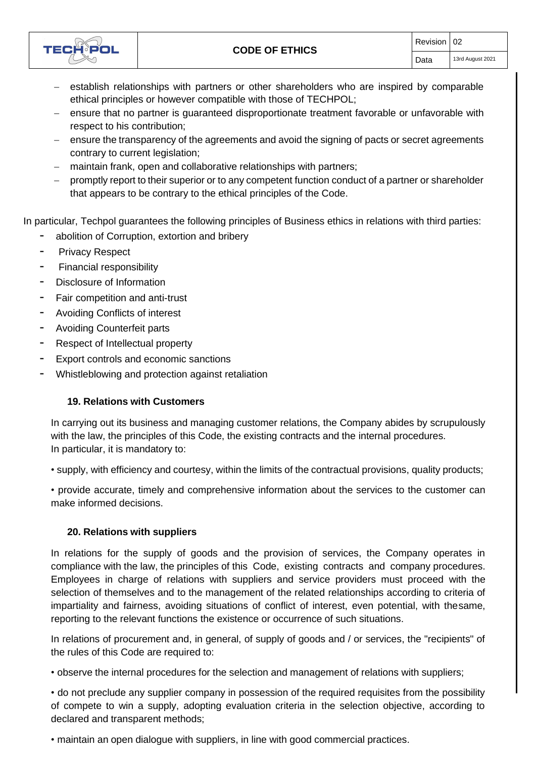

- − establish relationships with partners or other shareholders who are inspired by comparable ethical principles or however compatible with those of TECHPOL;
- − ensure that no partner is guaranteed disproportionate treatment favorable or unfavorable with respect to his contribution;
- − ensure the transparency of the agreements and avoid the signing of pacts or secret agreements contrary to current legislation;
- − maintain frank, open and collaborative relationships with partners;
- − promptly report to their superior or to any competent function conduct of a partner or shareholder that appears to be contrary to the ethical principles of the Code.

In particular, Techpol guarantees the following principles of Business ethics in relations with third parties:

- abolition of Corruption, extortion and bribery
- Privacy Respect
- Financial responsibility
- Disclosure of Information
- Fair competition and anti-trust
- Avoiding Conflicts of interest
- Avoiding Counterfeit parts
- Respect of Intellectual property
- Export controls and economic sanctions
- <span id="page-13-0"></span>Whistleblowing and protection against retaliation

#### **19. Relations with Customers**

In carrying out its business and managing customer relations, the Company abides by scrupulously with the law, the principles of this Code, the existing contracts and the internal procedures. In particular, it is mandatory to:

• supply, with efficiency and courtesy, within the limits of the contractual provisions, quality products;

• provide accurate, timely and comprehensive information about the services to the customer can make informed decisions.

#### **20. Relations with suppliers**

<span id="page-13-1"></span>In relations for the supply of goods and the provision of services, the Company operates in compliance with the law, the principles of this Code, existing contracts and company procedures. Employees in charge of relations with suppliers and service providers must proceed with the selection of themselves and to the management of the related relationships according to criteria of impartiality and fairness, avoiding situations of conflict of interest, even potential, with thesame, reporting to the relevant functions the existence or occurrence of such situations.

In relations of procurement and, in general, of supply of goods and / or services, the "recipients" of the rules of this Code are required to:

• observe the internal procedures for the selection and management of relations with suppliers;

• do not preclude any supplier company in possession of the required requisites from the possibility of compete to win a supply, adopting evaluation criteria in the selection objective, according to declared and transparent methods;

• maintain an open dialogue with suppliers, in line with good commercial practices.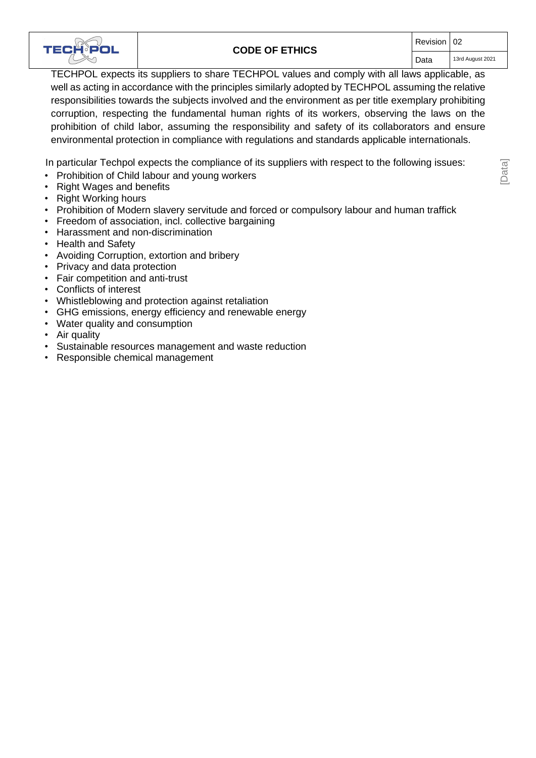

#### **CODE OF ETHICS**

[Data]

TECHPOL expects its suppliers to share TECHPOL values and comply with all laws applicable, as well as acting in accordance with the principles similarly adopted by TECHPOL assuming the relative responsibilities towards the subjects involved and the environment as per title exemplary prohibiting corruption, respecting the fundamental human rights of its workers, observing the laws on the prohibition of child labor, assuming the responsibility and safety of its collaborators and ensure environmental protection in compliance with regulations and standards applicable internationals.

In particular Techpol expects the compliance of its suppliers with respect to the following issues:

- Prohibition of Child labour and young workers
- Right Wages and benefits
- Right Working hours
- Prohibition of Modern slavery servitude and forced or compulsory labour and human traffick
- Freedom of association, incl. collective bargaining
- Harassment and non-discrimination
- Health and Safety
- Avoiding Corruption, extortion and bribery
- Privacy and data protection
- Fair competition and anti-trust
- Conflicts of interest
- Whistleblowing and protection against retaliation
- GHG emissions, energy efficiency and renewable energy
- Water quality and consumption
- Air quality
- Sustainable resources management and waste reduction
- Responsible chemical management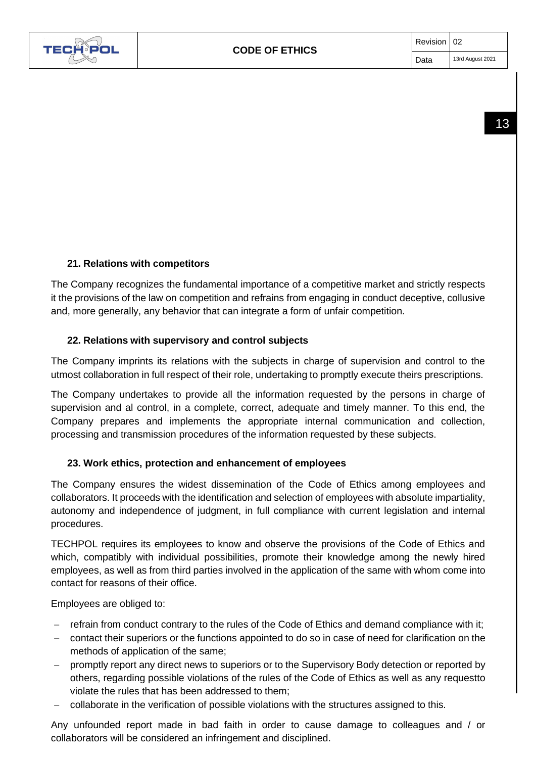

## **21. Relations with competitors**

<span id="page-15-0"></span>The Company recognizes the fundamental importance of a competitive market and strictly respects it the provisions of the law on competition and refrains from engaging in conduct deceptive, collusive and, more generally, any behavior that can integrate a form of unfair competition.

### **22. Relations with supervisory and control subjects**

<span id="page-15-1"></span>The Company imprints its relations with the subjects in charge of supervision and control to the utmost collaboration in full respect of their role, undertaking to promptly execute theirs prescriptions.

The Company undertakes to provide all the information requested by the persons in charge of supervision and al control, in a complete, correct, adequate and timely manner. To this end, the Company prepares and implements the appropriate internal communication and collection, processing and transmission procedures of the information requested by these subjects.

### **23. Work ethics, protection and enhancement of employees**

<span id="page-15-2"></span>The Company ensures the widest dissemination of the Code of Ethics among employees and collaborators. It proceeds with the identification and selection of employees with absolute impartiality, autonomy and independence of judgment, in full compliance with current legislation and internal procedures.

TECHPOL requires its employees to know and observe the provisions of the Code of Ethics and which, compatibly with individual possibilities, promote their knowledge among the newly hired employees, as well as from third parties involved in the application of the same with whom come into contact for reasons of their office.

Employees are obliged to:

- refrain from conduct contrary to the rules of the Code of Ethics and demand compliance with it;
- − contact their superiors or the functions appointed to do so in case of need for clarification on the methods of application of the same;
- − promptly report any direct news to superiors or to the Supervisory Body detection or reported by others, regarding possible violations of the rules of the Code of Ethics as well as any requestto violate the rules that has been addressed to them;
- − collaborate in the verification of possible violations with the structures assigned to this.

Any unfounded report made in bad faith in order to cause damage to colleagues and / or collaborators will be considered an infringement and disciplined.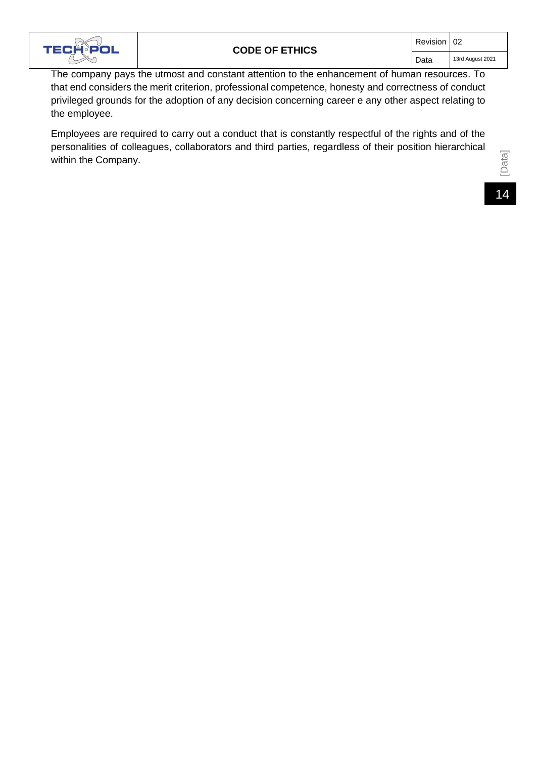

The company pays the utmost and constant attention to the enhancement of human resources. To that end considers the merit criterion, professional competence, honesty and correctness of conduct privileged grounds for the adoption of any decision concerning career e any other aspect relating to the employee.

Employees are required to carry out a conduct that is constantly respectful of the rights and of the personalities of colleagues, collaborators and third parties, regardless of their position hierarchical within the Company.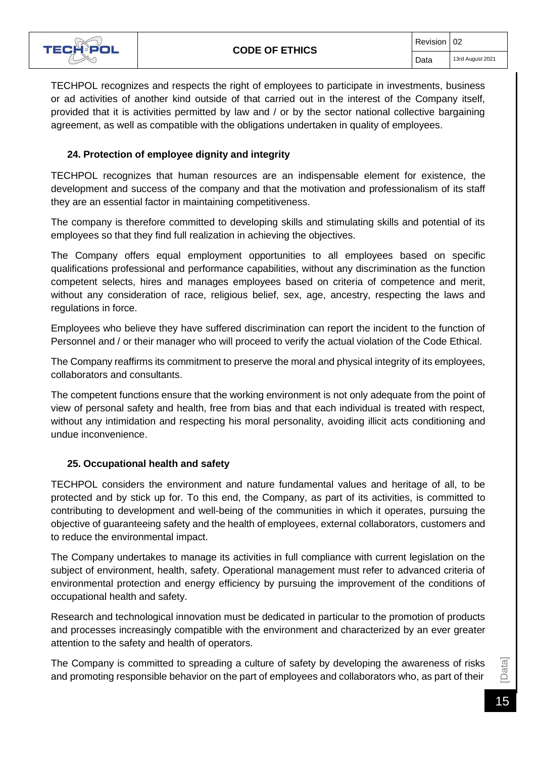

TECHPOL recognizes and respects the right of employees to participate in investments, business or ad activities of another kind outside of that carried out in the interest of the Company itself, provided that it is activities permitted by law and / or by the sector national collective bargaining agreement, as well as compatible with the obligations undertaken in quality of employees.

#### **24. Protection of employee dignity and integrity**

<span id="page-17-0"></span>TECHPOL recognizes that human resources are an indispensable element for existence, the development and success of the company and that the motivation and professionalism of its staff they are an essential factor in maintaining competitiveness.

The company is therefore committed to developing skills and stimulating skills and potential of its employees so that they find full realization in achieving the objectives.

The Company offers equal employment opportunities to all employees based on specific qualifications professional and performance capabilities, without any discrimination as the function competent selects, hires and manages employees based on criteria of competence and merit, without any consideration of race, religious belief, sex, age, ancestry, respecting the laws and regulations in force.

Employees who believe they have suffered discrimination can report the incident to the function of Personnel and / or their manager who will proceed to verify the actual violation of the Code Ethical.

The Company reaffirms its commitment to preserve the moral and physical integrity of its employees, collaborators and consultants.

The competent functions ensure that the working environment is not only adequate from the point of view of personal safety and health, free from bias and that each individual is treated with respect, without any intimidation and respecting his moral personality, avoiding illicit acts conditioning and undue inconvenience.

#### **25. Occupational health and safety**

<span id="page-17-1"></span>TECHPOL considers the environment and nature fundamental values and heritage of all, to be protected and by stick up for. To this end, the Company, as part of its activities, is committed to contributing to development and well-being of the communities in which it operates, pursuing the objective of guaranteeing safety and the health of employees, external collaborators, customers and to reduce the environmental impact.

The Company undertakes to manage its activities in full compliance with current legislation on the subject of environment, health, safety. Operational management must refer to advanced criteria of environmental protection and energy efficiency by pursuing the improvement of the conditions of occupational health and safety.

Research and technological innovation must be dedicated in particular to the promotion of products and processes increasingly compatible with the environment and characterized by an ever greater attention to the safety and health of operators.

The Company is committed to spreading a culture of safety by developing the awareness of risks and promoting responsible behavior on the part of employees and collaborators who, as part of their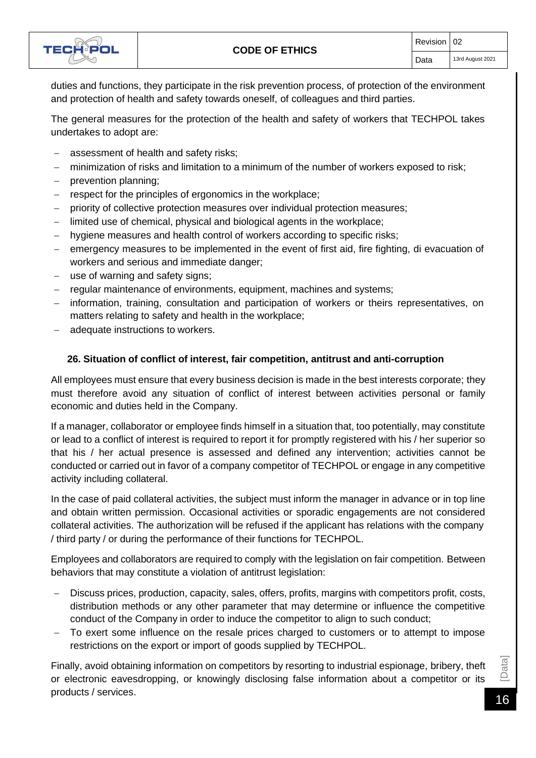

duties and functions, they participate in the risk prevention process, of protection of the environment and protection of health and safety towards oneself, of colleagues and third parties.

The general measures for the protection of the health and safety of workers that TECHPOL takes undertakes to adopt are:

- assessment of health and safety risks;
- − minimization of risks and limitation to a minimum of the number of workers exposed to risk;
- prevention planning;
- respect for the principles of ergonomics in the workplace;
- priority of collective protection measures over individual protection measures;
- limited use of chemical, physical and biological agents in the workplace;
- hygiene measures and health control of workers according to specific risks;
- − emergency measures to be implemented in the event of first aid, fire fighting, di evacuation of workers and serious and immediate danger;
- − use of warning and safety signs;
- − regular maintenance of environments, equipment, machines and systems;
- information, training, consultation and participation of workers or theirs representatives, on matters relating to safety and health in the workplace;
- adequate instructions to workers.

#### **26. Situation of conflict of interest, fair competition, antitrust and anti-corruption**

<span id="page-18-0"></span>All employees must ensure that every business decision is made in the best interests corporate; they must therefore avoid any situation of conflict of interest between activities personal or family economic and duties held in the Company.

If a manager, collaborator or employee finds himself in a situation that, too potentially, may constitute or lead to a conflict of interest is required to report it for promptly registered with his / her superior so that his / her actual presence is assessed and defined any intervention; activities cannot be conducted or carried out in favor of a company competitor of TECHPOL or engage in any competitive activity including collateral.

In the case of paid collateral activities, the subject must inform the manager in advance or in top line and obtain written permission. Occasional activities or sporadic engagements are not considered collateral activities. The authorization will be refused if the applicant has relations with the company / third party / or during the performance of their functions for TECHPOL.

Employees and collaborators are required to comply with the legislation on fair competition. Between behaviors that may constitute a violation of antitrust legislation:

- − Discuss prices, production, capacity, sales, offers, profits, margins with competitors profit, costs, distribution methods or any other parameter that may determine or influence the competitive conduct of the Company in order to induce the competitor to align to such conduct;
- To exert some influence on the resale prices charged to customers or to attempt to impose restrictions on the export or import of goods supplied by TECHPOL.

Finally, avoid obtaining information on competitors by resorting to industrial espionage, bribery, theft<br>or electronic eavesdropping, or knowingly disclosing false information about a competitor or its<br>products / services. or electronic eavesdropping, or knowingly disclosing false information about a competitor or its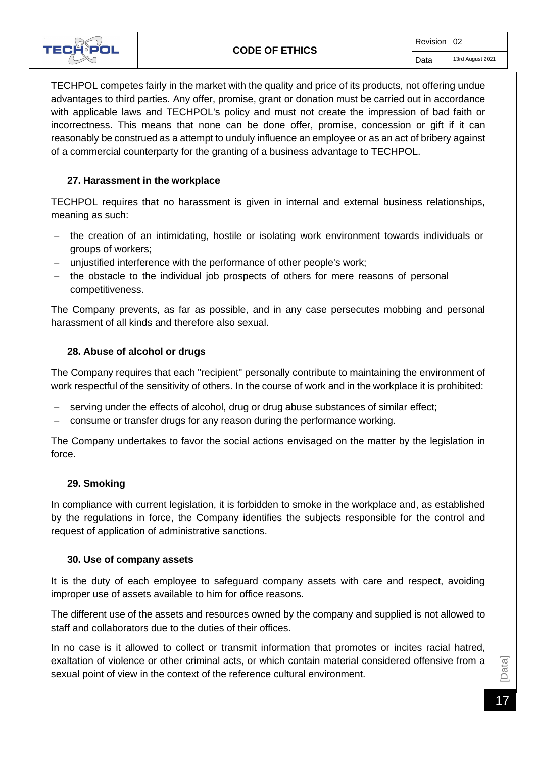

TECHPOL competes fairly in the market with the quality and price of its products, not offering undue advantages to third parties. Any offer, promise, grant or donation must be carried out in accordance with applicable laws and TECHPOL's policy and must not create the impression of bad faith or incorrectness. This means that none can be done offer, promise, concession or gift if it can reasonably be construed as a attempt to unduly influence an employee or as an act of bribery against of a commercial counterparty for the granting of a business advantage to TECHPOL.

#### **27. Harassment in the workplace**

<span id="page-19-0"></span>TECHPOL requires that no harassment is given in internal and external business relationships, meaning as such:

- − the creation of an intimidating, hostile or isolating work environment towards individuals or groups of workers;
- unjustified interference with the performance of other people's work;
- − the obstacle to the individual job prospects of others for mere reasons of personal competitiveness.

The Company prevents, as far as possible, and in any case persecutes mobbing and personal harassment of all kinds and therefore also sexual.

#### **28. Abuse of alcohol or drugs**

<span id="page-19-1"></span>The Company requires that each "recipient" personally contribute to maintaining the environment of work respectful of the sensitivity of others. In the course of work and in the workplace it is prohibited:

- serving under the effects of alcohol, drug or drug abuse substances of similar effect;
- − consume or transfer drugs for any reason during the performance working.

The Company undertakes to favor the social actions envisaged on the matter by the legislation in force.

#### **29. Smoking**

<span id="page-19-2"></span>In compliance with current legislation, it is forbidden to smoke in the workplace and, as established by the regulations in force, the Company identifies the subjects responsible for the control and request of application of administrative sanctions.

#### **30. Use of company assets**

<span id="page-19-3"></span>It is the duty of each employee to safeguard company assets with care and respect, avoiding improper use of assets available to him for office reasons.

The different use of the assets and resources owned by the company and supplied is not allowed to staff and collaborators due to the duties of their offices.

In no case is it allowed to collect or transmit information that promotes or incites racial hatred, exaltation of violence or other criminal acts, or which contain material considered offensive from a sexual point of view in the context of the reference cultural environment.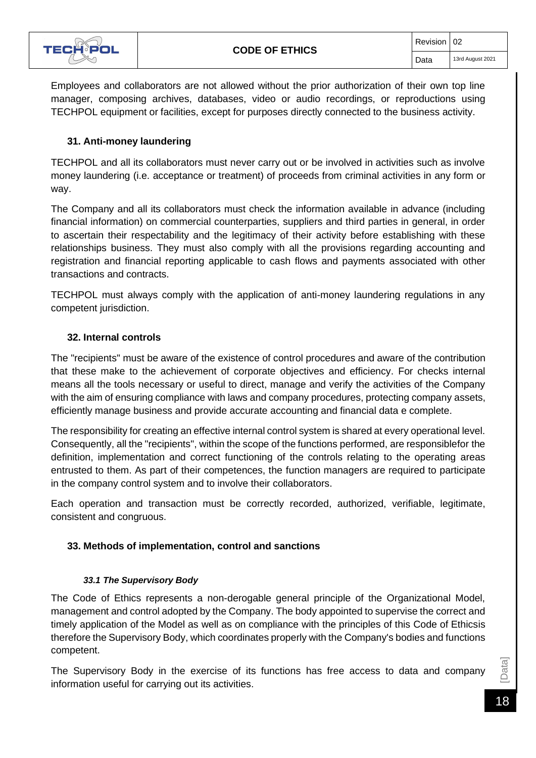

Employees and collaborators are not allowed without the prior authorization of their own top line manager, composing archives, databases, video or audio recordings, or reproductions using TECHPOL equipment or facilities, except for purposes directly connected to the business activity.

#### **31. Anti-money laundering**

<span id="page-20-0"></span>TECHPOL and all its collaborators must never carry out or be involved in activities such as involve money laundering (i.e. acceptance or treatment) of proceeds from criminal activities in any form or way.

The Company and all its collaborators must check the information available in advance (including financial information) on commercial counterparties, suppliers and third parties in general, in order to ascertain their respectability and the legitimacy of their activity before establishing with these relationships business. They must also comply with all the provisions regarding accounting and registration and financial reporting applicable to cash flows and payments associated with other transactions and contracts.

TECHPOL must always comply with the application of anti-money laundering regulations in any competent jurisdiction.

#### **32. Internal controls**

<span id="page-20-1"></span>The "recipients" must be aware of the existence of control procedures and aware of the contribution that these make to the achievement of corporate objectives and efficiency. For checks internal means all the tools necessary or useful to direct, manage and verify the activities of the Company with the aim of ensuring compliance with laws and company procedures, protecting company assets, efficiently manage business and provide accurate accounting and financial data e complete.

The responsibility for creating an effective internal control system is shared at every operational level. Consequently, all the "recipients", within the scope of the functions performed, are responsiblefor the definition, implementation and correct functioning of the controls relating to the operating areas entrusted to them. As part of their competences, the function managers are required to participate in the company control system and to involve their collaborators.

Each operation and transaction must be correctly recorded, authorized, verifiable, legitimate, consistent and congruous.

#### <span id="page-20-2"></span>**33. Methods of implementation, control and sanctions**

#### *33.1 The Supervisory Body*

<span id="page-20-3"></span>The Code of Ethics represents a non-derogable general principle of the Organizational Model, management and control adopted by the Company. The body appointed to supervise the correct and timely application of the Model as well as on compliance with the principles of this Code of Ethicsis therefore the Supervisory Body, which coordinates properly with the Company's bodies and functions competent.

The Supervisory Body in the exercise of its functions has free access to data and company information useful for carrying out its activities.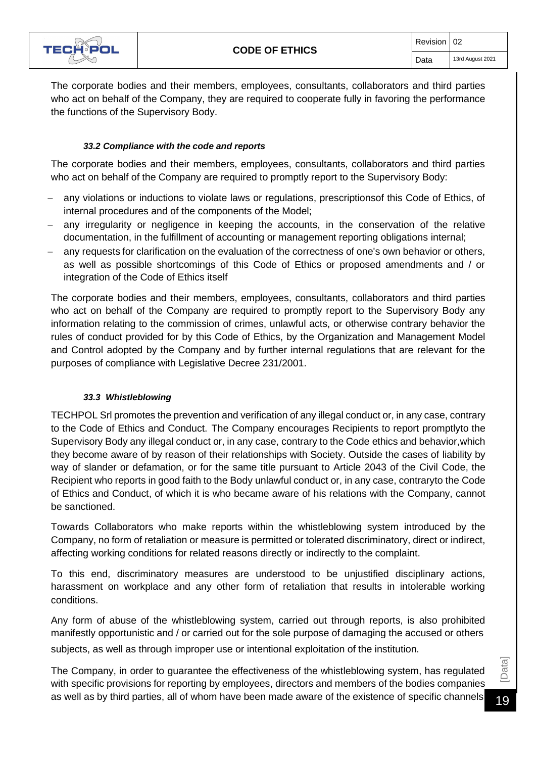

The corporate bodies and their members, employees, consultants, collaborators and third parties who act on behalf of the Company, they are required to cooperate fully in favoring the performance the functions of the Supervisory Body.

#### *33.2 Compliance with the code and reports*

<span id="page-21-0"></span>The corporate bodies and their members, employees, consultants, collaborators and third parties who act on behalf of the Company are required to promptly report to the Supervisory Body:

- any violations or inductions to violate laws or regulations, prescriptionsof this Code of Ethics, of internal procedures and of the components of the Model;
- any irregularity or negligence in keeping the accounts, in the conservation of the relative documentation, in the fulfillment of accounting or management reporting obligations internal;
- any requests for clarification on the evaluation of the correctness of one's own behavior or others, as well as possible shortcomings of this Code of Ethics or proposed amendments and / or integration of the Code of Ethics itself

The corporate bodies and their members, employees, consultants, collaborators and third parties who act on behalf of the Company are required to promptly report to the Supervisory Body any information relating to the commission of crimes, unlawful acts, or otherwise contrary behavior the rules of conduct provided for by this Code of Ethics, by the Organization and Management Model and Control adopted by the Company and by further internal regulations that are relevant for the purposes of compliance with Legislative Decree 231/2001.

#### *33.3 Whistleblowing*

<span id="page-21-1"></span>TECHPOL Srl promotes the prevention and verification of any illegal conduct or, in any case, contrary to the Code of Ethics and Conduct. The Company encourages Recipients to report promptlyto the Supervisory Body any illegal conduct or, in any case, contrary to the Code ethics and behavior,which they become aware of by reason of their relationships with Society. Outside the cases of liability by way of slander or defamation, or for the same title pursuant to Article 2043 of the Civil Code, the Recipient who reports in good faith to the Body unlawful conduct or, in any case, contraryto the Code of Ethics and Conduct, of which it is who became aware of his relations with the Company, cannot be sanctioned.

Towards Collaborators who make reports within the whistleblowing system introduced by the Company, no form of retaliation or measure is permitted or tolerated discriminatory, direct or indirect, affecting working conditions for related reasons directly or indirectly to the complaint.

To this end, discriminatory measures are understood to be unjustified disciplinary actions, harassment on workplace and any other form of retaliation that results in intolerable working conditions.

Any form of abuse of the whistleblowing system, carried out through reports, is also prohibited manifestly opportunistic and / or carried out for the sole purpose of damaging the accused or others subjects, as well as through improper use or intentional exploitation of the institution.

The Company, in order to guarantee the effectiveness of the whistleblowing system, has regulated with specific provisions for reporting by employees, directors and members of the bodies companies The Company, in order to guarantee the effectiveness of the whistleblowing system, has regulated<br>with specific provisions for reporting by employees, directors and members of the bodies companies<br>as well as by third partie